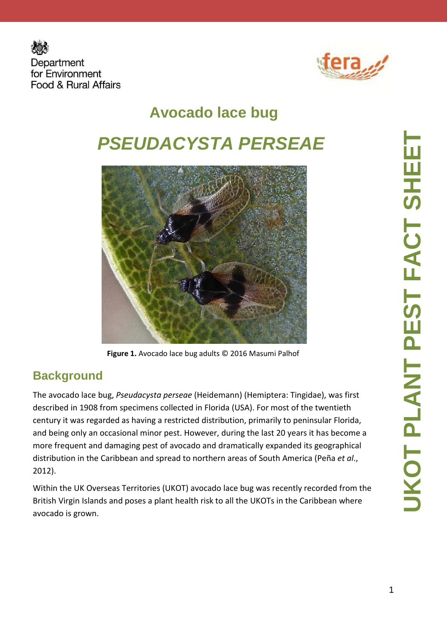



# **Avocado lace bug PSEUDACYSTA PERSEAE**



**Figure 1.** Avocado lace bug adults © 2016 Masumi Palhof

#### **Background**

The avocado lace bug, *Pseudacysta perseae* (Heidemann) (Hemiptera: Tingidae), was first described in 1908 from specimens collected in Florida (USA). For most of the twentieth century it was regarded as having a restricted distribution, primarily to peninsular Florida, and being only an occasional minor pest. However, during the last 20 years it has become a more frequent and damaging pest of avocado and dramatically expanded its geographical distribution in the Caribbean and spread to northern areas of South America (Peña *et al*., 2012).

Within the UK Overseas Territories (UKOT) avocado lace bug was recently recorded from the British Virgin Islands and poses a plant health risk to all the UKOTs in the Caribbean where avocado is grown.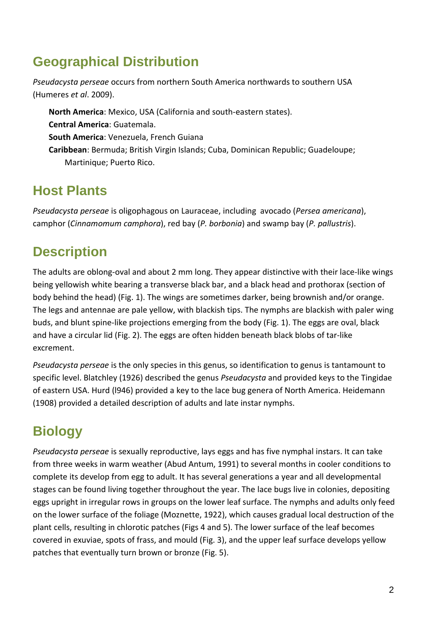#### **Geographical Distribution**

*Pseudacysta perseae* occurs from northern South America northwards to southern USA (Humeres *et al*. 2009).

**North America**: Mexico, USA (California and south-eastern states). **Central America**: Guatemala. **South America**: Venezuela, French Guiana **Caribbean**: Bermuda; British Virgin Islands; Cuba, Dominican Republic; Guadeloupe; Martinique; Puerto Rico.

#### **Host Plants**

*Pseudacysta perseae* is oligophagous on Lauraceae, including avocado (*Persea americana*), camphor (*Cinnamomum camphora*), red bay (*P. borbonia*) and swamp bay (*P. pallustris*).

## **Description**

The adults are oblong-oval and about 2 mm long. They appear distinctive with their lace-like wings being yellowish white bearing a transverse black bar, and a black head and prothorax (section of body behind the head) (Fig. 1). The wings are sometimes darker, being brownish and/or orange. The legs and antennae are pale yellow, with blackish tips. The nymphs are blackish with paler wing buds, and blunt spine-like projections emerging from the body (Fig. 1). The eggs are oval, black and have a circular lid (Fig. 2). The eggs are often hidden beneath black blobs of tar-like excrement.

*Pseudacysta perseae* is the only species in this genus, so identification to genus is tantamount to specific level. Blatchley (1926) described the genus *Pseudacysta* and provided keys to the Tingidae of eastern USA. Hurd (l946) provided a key to the lace bug genera of North America. Heidemann (1908) provided a detailed description of adults and late instar nymphs.

## **Biology**

*Pseudacysta perseae* is sexually reproductive, lays eggs and has five nymphal instars. It can take from three weeks in warm weather (Abud Antum, 1991) to several months in cooler conditions to complete its develop from egg to adult. It has several generations a year and all developmental stages can be found living together throughout the year. The lace bugs live in colonies, depositing eggs upright in irregular rows in groups on the lower leaf surface. The nymphs and adults only feed on the lower surface of the foliage (Moznette, 1922), which causes gradual local destruction of the plant cells, resulting in chlorotic patches (Figs 4 and 5). The lower surface of the leaf becomes covered in exuviae, spots of frass, and mould (Fig. 3), and the upper leaf surface develops yellow patches that eventually turn brown or bronze (Fig. 5).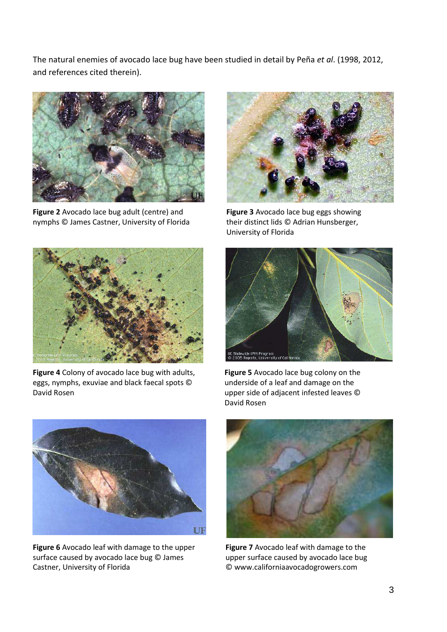The natural enemies of avocado lace bug have been studied in detail by Peña *et al*. (1998, 2012, and references cited therein).



**Figure 2** Avocado lace bug adult (centre) and nymphs © James Castner, University of Florida



**Figure 3** Avocado lace bug eggs showing their distinct lids © Adrian Hunsberger, University of Florida



**Figure 4** Colony of avocado lace bug with adults, eggs, nymphs, exuviae and black faecal spots © David Rosen



**Figure 5** Avocado lace bug colony on the underside of a leaf and damage on the upper side of adjacent infested leaves © David Rosen



**Figure 6** Avocado leaf with damage to the upper surface caused by avocado lace bug © James Castner, University of Florida



**Figure 7** Avocado leaf with damage to the upper surface caused by avocado lace bug © www.californiaavocadogrowers.com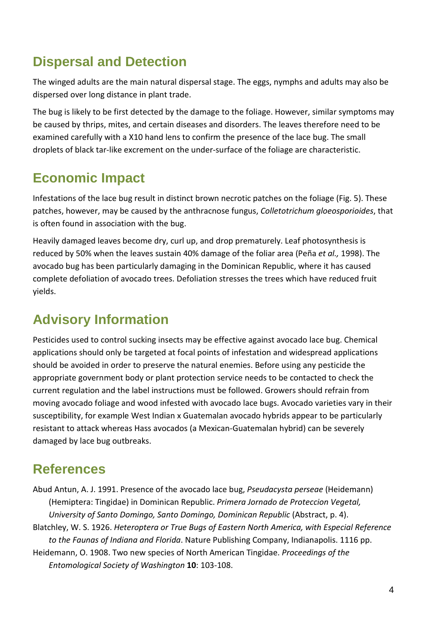#### **Dispersal and Detection**

The winged adults are the main natural dispersal stage. The eggs, nymphs and adults may also be dispersed over long distance in plant trade.

The bug is likely to be first detected by the damage to the foliage. However, similar symptoms may be caused by thrips, mites, and certain diseases and disorders. The leaves therefore need to be examined carefully with a X10 hand lens to confirm the presence of the lace bug. The small droplets of black tar-like excrement on the under-surface of the foliage are characteristic.

#### **Economic Impact**

Infestations of the lace bug result in distinct brown necrotic patches on the foliage (Fig. 5). These patches, however, may be caused by the anthracnose fungus, *Colletotrichum gloeosporioides*, that is often found in association with the bug.

Heavily damaged leaves become dry, curl up, and drop prematurely. Leaf photosynthesis is reduced by 50% when the leaves sustain 40% damage of the foliar area (Peña *et al.,* 1998). The avocado bug has been particularly damaging in the Dominican Republic, where it has caused complete defoliation of avocado trees. Defoliation stresses the trees which have reduced fruit yields.

### **Advisory Information**

Pesticides used to control sucking insects may be effective against avocado lace bug. Chemical applications should only be targeted at focal points of infestation and widespread applications should be avoided in order to preserve the natural enemies. Before using any pesticide the appropriate government body or plant protection service needs to be contacted to check the current regulation and the label instructions must be followed. Growers should refrain from moving avocado foliage and wood infested with avocado lace bugs. Avocado varieties vary in their susceptibility, for example West Indian x Guatemalan avocado hybrids appear to be particularly resistant to attack whereas Hass avocados (a Mexican-Guatemalan hybrid) can be severely damaged by lace bug outbreaks.

#### **References**

Abud Antun, A. J. 1991. Presence of the avocado lace bug, *Pseudacysta perseae* (Heidemann) (Hemiptera: Tingidae) in Dominican Republic. *Primera Jornado de Proteccion Vegetal, University of Santo Domingo, Santo Domingo, Dominican Republic* (Abstract, p. 4). Blatchley, W. S. 1926. *Heteroptera or True Bugs of Eastern North America, with Especial Reference to the Faunas of Indiana and Florida*. Nature Publishing Company, Indianapolis. 1116 pp. Heidemann, O. 1908. Two new species of North American Tingidae. *Proceedings of the Entomological Society of Washington* **10**: 103-108.